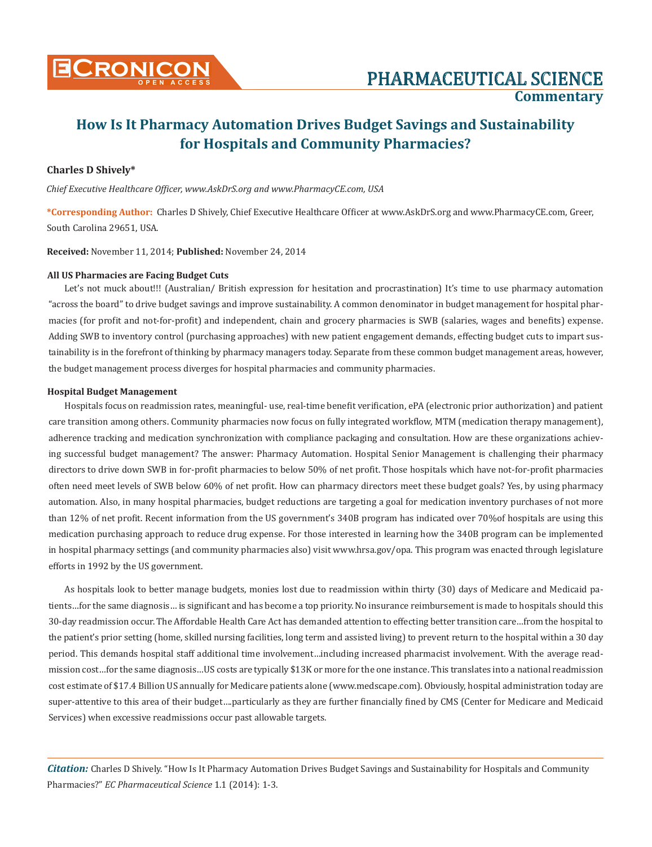

# PHARMACEUTICAL SCIENCE **Commentary**

# **How Is It Pharmacy Automation Drives Budget Savings and Sustainability for Hospitals and Community Pharmacies?**

### **Charles D Shively\***

*Chief Executive Healthcare Officer, www.AskDrS.org and www.PharmacyCE.com, USA*

**\*Corresponding Author:** Charles D Shively, Chief Executive Healthcare Officer at www.AskDrS.org and www.PharmacyCE.com, Greer, South Carolina 29651, USA.

**Received:** November 11, 2014; **Published:** November 24, 2014

#### **All US Pharmacies are Facing Budget Cuts**

Let's not muck about!!! (Australian/ British expression for hesitation and procrastination) It's time to use pharmacy automation "across the board" to drive budget savings and improve sustainability. A common denominator in budget management for hospital pharmacies (for profit and not-for-profit) and independent, chain and grocery pharmacies is SWB (salaries, wages and benefits) expense. Adding SWB to inventory control (purchasing approaches) with new patient engagement demands, effecting budget cuts to impart sustainability is in the forefront of thinking by pharmacy managers today. Separate from these common budget management areas, however, the budget management process diverges for hospital pharmacies and community pharmacies.

#### **Hospital Budget Management**

Hospitals focus on readmission rates, meaningful- use, real-time benefit verification, ePA (electronic prior authorization) and patient care transition among others. Community pharmacies now focus on fully integrated workflow, MTM (medication therapy management), adherence tracking and medication synchronization with compliance packaging and consultation. How are these organizations achieving successful budget management? The answer: Pharmacy Automation. Hospital Senior Management is challenging their pharmacy directors to drive down SWB in for-profit pharmacies to below 50% of net profit. Those hospitals which have not-for-profit pharmacies often need meet levels of SWB below 60% of net profit. How can pharmacy directors meet these budget goals? Yes, by using pharmacy automation. Also, in many hospital pharmacies, budget reductions are targeting a goal for medication inventory purchases of not more than 12% of net profit. Recent information from the US government's 340B program has indicated over 70%of hospitals are using this medication purchasing approach to reduce drug expense. For those interested in learning how the 340B program can be implemented in hospital pharmacy settings (and community pharmacies also) visit www.hrsa.gov/opa. This program was enacted through legislature efforts in 1992 by the US government.

As hospitals look to better manage budgets, monies lost due to readmission within thirty (30) days of Medicare and Medicaid patients…for the same diagnosis… is significant and has become a top priority. No insurance reimbursement is made to hospitals should this 30-day readmission occur. The Affordable Health Care Act has demanded attention to effecting better transition care…from the hospital to the patient's prior setting (home, skilled nursing facilities, long term and assisted living) to prevent return to the hospital within a 30 day period. This demands hospital staff additional time involvement…including increased pharmacist involvement. With the average readmission cost…for the same diagnosis…US costs are typically \$13K or more for the one instance. This translates into a national readmission cost estimate of \$17.4 Billion US annually for Medicare patients alone (www.medscape.com). Obviously, hospital administration today are super-attentive to this area of their budget….particularly as they are further financially fined by CMS (Center for Medicare and Medicaid Services) when excessive readmissions occur past allowable targets.

*Citation:* Charles D Shively. "How Is It Pharmacy Automation Drives Budget Savings and Sustainability for Hospitals and Community Pharmacies?" *EC Pharmaceutical Science* 1.1 (2014): 1-3.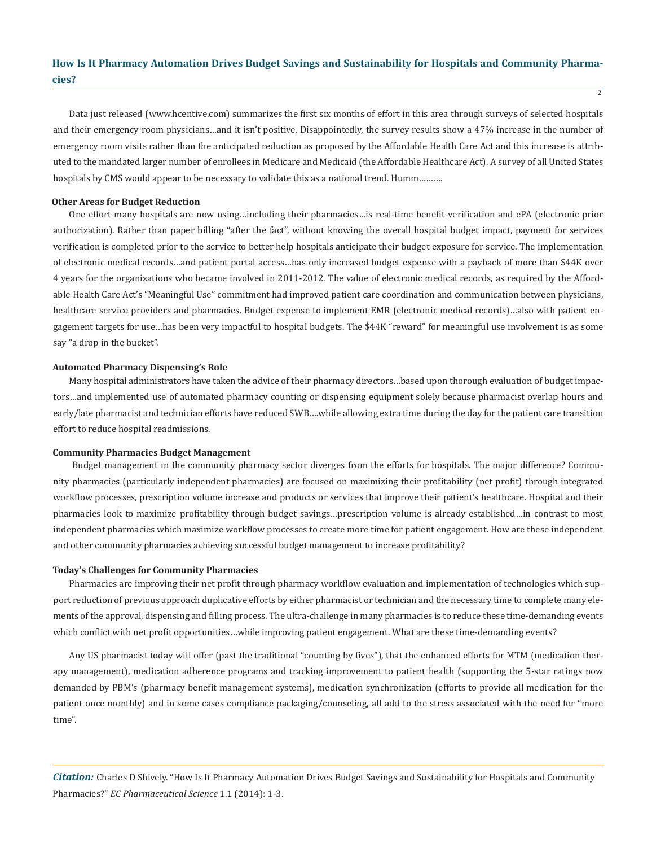## **How Is It Pharmacy Automation Drives Budget Savings and Sustainability for Hospitals and Community Pharmacies?**

2

Data just released (www.hcentive.com) summarizes the first six months of effort in this area through surveys of selected hospitals and their emergency room physicians…and it isn't positive. Disappointedly, the survey results show a 47% increase in the number of emergency room visits rather than the anticipated reduction as proposed by the Affordable Health Care Act and this increase is attributed to the mandated larger number of enrollees in Medicare and Medicaid (the Affordable Healthcare Act). A survey of all United States hospitals by CMS would appear to be necessary to validate this as a national trend. Humm..........

#### **Other Areas for Budget Reduction**

One effort many hospitals are now using…including their pharmacies…is real-time benefit verification and ePA (electronic prior authorization). Rather than paper billing "after the fact", without knowing the overall hospital budget impact, payment for services verification is completed prior to the service to better help hospitals anticipate their budget exposure for service. The implementation of electronic medical records…and patient portal access…has only increased budget expense with a payback of more than \$44K over 4 years for the organizations who became involved in 2011-2012. The value of electronic medical records, as required by the Affordable Health Care Act's "Meaningful Use" commitment had improved patient care coordination and communication between physicians, healthcare service providers and pharmacies. Budget expense to implement EMR (electronic medical records)…also with patient engagement targets for use…has been very impactful to hospital budgets. The \$44K "reward" for meaningful use involvement is as some say "a drop in the bucket".

#### **Automated Pharmacy Dispensing's Role**

Many hospital administrators have taken the advice of their pharmacy directors…based upon thorough evaluation of budget impactors…and implemented use of automated pharmacy counting or dispensing equipment solely because pharmacist overlap hours and early/late pharmacist and technician efforts have reduced SWB….while allowing extra time during the day for the patient care transition effort to reduce hospital readmissions.

#### **Community Pharmacies Budget Management**

 Budget management in the community pharmacy sector diverges from the efforts for hospitals. The major difference? Community pharmacies (particularly independent pharmacies) are focused on maximizing their profitability (net profit) through integrated workflow processes, prescription volume increase and products or services that improve their patient's healthcare. Hospital and their pharmacies look to maximize profitability through budget savings…prescription volume is already established…in contrast to most independent pharmacies which maximize workflow processes to create more time for patient engagement. How are these independent and other community pharmacies achieving successful budget management to increase profitability?

#### **Today's Challenges for Community Pharmacies**

Pharmacies are improving their net profit through pharmacy workflow evaluation and implementation of technologies which support reduction of previous approach duplicative efforts by either pharmacist or technician and the necessary time to complete many elements of the approval, dispensing and filling process. The ultra-challenge in many pharmacies is to reduce these time-demanding events which conflict with net profit opportunities...while improving patient engagement. What are these time-demanding events?

Any US pharmacist today will offer (past the traditional "counting by fives"), that the enhanced efforts for MTM (medication therapy management), medication adherence programs and tracking improvement to patient health (supporting the 5-star ratings now demanded by PBM's (pharmacy benefit management systems), medication synchronization (efforts to provide all medication for the patient once monthly) and in some cases compliance packaging/counseling, all add to the stress associated with the need for "more time".

*Citation:* Charles D Shively. "How Is It Pharmacy Automation Drives Budget Savings and Sustainability for Hospitals and Community Pharmacies?" *EC Pharmaceutical Science* 1.1 (2014): 1-3.